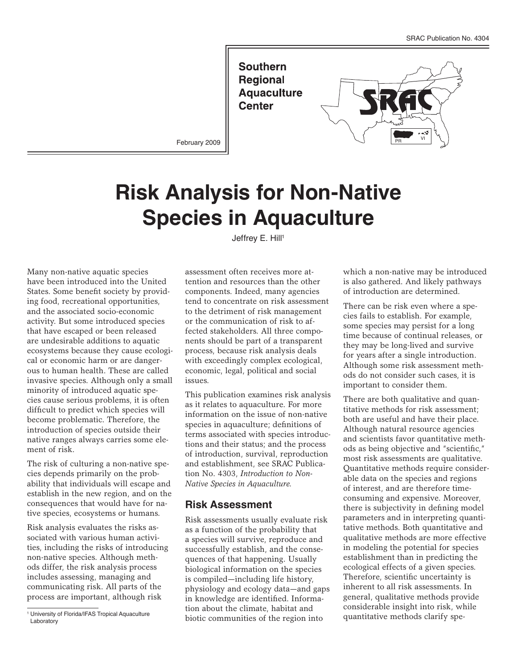**Southern Regional Aquaculture Center** 





# **Risk Analysis for Non-Native Species in Aquaculture**

Many non-native aquatic species have been introduced into the United States. Some benefit society by providing food, recreational opportunities, and the associated socio-economic activity. But some introduced species that have escaped or been released are undesirable additions to aquatic ecosystems because they cause ecological or economic harm or are dangerous to human health. These are called invasive species. Although only a small minority of introduced aquatic species cause serious problems, it is often difficult to predict which species will become problematic. Therefore, the introduction of species outside their native ranges always carries some element of risk.

The risk of culturing a non-native species depends primarily on the probability that individuals will escape and establish in the new region, and on the consequences that would have for native species, ecosystems or humans.

Risk analysis evaluates the risks associated with various human activities, including the risks of introducing non-native species. Although methods differ, the risk analysis process includes assessing, managing and communicating risk. All parts of the process are important, although risk

Jeffrey E. Hill<sup>1</sup>

assessment often receives more attention and resources than the other components. Indeed, many agencies tend to concentrate on risk assessment to the detriment of risk management or the communication of risk to affected stakeholders. All three components should be part of a transparent process, because risk analysis deals with exceedingly complex ecological, economic, legal, political and social issues.

This publication examines risk analysis as it relates to aquaculture. For more information on the issue of non-native species in aquaculture; definitions of terms associated with species introductions and their status; and the process of introduction, survival, reproduction and establishment, see SRAC Publication No. 4303, *Introduction to Non-Native Species in Aquaculture.*

#### **Risk Assessment**

Risk assessments usually evaluate risk as a function of the probability that a species will survive, reproduce and successfully establish, and the consequences of that happening. Usually biological information on the species is compiled—including life history, physiology and ecology data—and gaps in knowledge are identified. Information about the climate, habitat and biotic communities of the region into <sup>1</sup> University of Florida/IFAS Tropical Aquaculture<br>
laboratory biotic communities of the region into quantitative methods clarify spe-

which a non-native may be introduced is also gathered. And likely pathways of introduction are determined.

There can be risk even where a species fails to establish. For example, some species may persist for a long time because of continual releases, or they may be long-lived and survive for years after a single introduction. Although some risk assessment methods do not consider such cases, it is important to consider them.

There are both qualitative and quantitative methods for risk assessment; both are useful and have their place. Although natural resource agencies and scientists favor quantitative methods as being objective and "scientific," most risk assessments are qualitative. Quantitative methods require considerable data on the species and regions of interest, and are therefore timeconsuming and expensive. Moreover, there is subjectivity in defining model parameters and in interpreting quantitative methods. Both quantitative and qualitative methods are more effective in modeling the potential for species establishment than in predicting the ecological effects of a given species. Therefore, scientific uncertainty is inherent to all risk assessments. In general, qualitative methods provide considerable insight into risk, while

Laboratory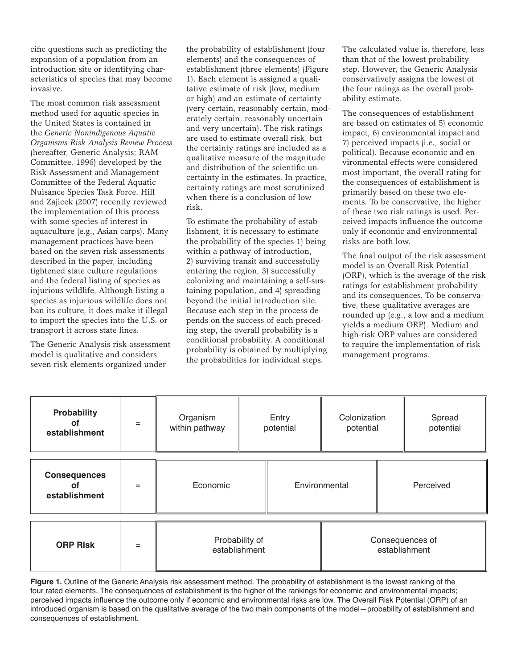cific questions such as predicting the expansion of a population from an introduction site or identifying characteristics of species that may become invasive.

The most common risk assessment method used for aquatic species in the United States is contained in the *Generic Nonindigenous Aquatic Organisms Risk Analysis Review Process* (hereafter, Generic Analysis; RAM Committee, 1996) developed by the Risk Assessment and Management Committee of the Federal Aquatic Nuisance Species Task Force. Hill and Zajicek (2007) recently reviewed the implementation of this process with some species of interest in aquaculture (e.g., Asian carps). Many management practices have been based on the seven risk assessments described in the paper, including tightened state culture regulations and the federal listing of species as injurious wildlife. Although listing a species as injurious wildlife does not ban its culture, it does make it illegal to import the species into the U.S. or transport it across state lines.

The Generic Analysis risk assessment model is qualitative and considers seven risk elements organized under

the probability of establishment (four elements) and the consequences of establishment (three elements) (Figure 1). Each element is assigned a qualitative estimate of risk (low, medium or high) and an estimate of certainty (very certain, reasonably certain, moderately certain, reasonably uncertain and very uncertain). The risk ratings are used to estimate overall risk, but the certainty ratings are included as a qualitative measure of the magnitude and distribution of the scientific uncertainty in the estimates. In practice, certainty ratings are most scrutinized when there is a conclusion of low risk.

To estimate the probability of establishment, it is necessary to estimate the probability of the species 1) being within a pathway of introduction, 2) surviving transit and successfully entering the region, 3) successfully colonizing and maintaining a self-sustaining population, and 4) spreading beyond the initial introduction site. Because each step in the process depends on the success of each preceding step, the overall probability is a conditional probability. A conditional probability is obtained by multiplying the probabilities for individual steps.

The calculated value is, therefore, less than that of the lowest probability step. However, the Generic Analysis conservatively assigns the lowest of the four ratings as the overall probability estimate.

The consequences of establishment are based on estimates of 5) economic impact, 6) environmental impact and 7) perceived impacts (i.e., social or political). Because economic and environmental effects were considered most important, the overall rating for the consequences of establishment is primarily based on these two elements. To be conservative, the higher of these two risk ratings is used. Perceived impacts influence the outcome only if economic and environmental risks are both low.

The final output of the risk assessment model is an Overall Risk Potential (ORP), which is the average of the risk ratings for establishment probability and its consequences. To be conservative, these qualitative averages are rounded up (e.g., a low and a medium yields a medium ORP). Medium and high-risk ORP values are considered to require the implementation of risk management programs.

| Probability<br><b>of</b><br>establishment         | $=$ | Organism<br>within pathway      |  | Entry<br>potential | Colonization<br>potential        |           | Spread<br>potential |
|---------------------------------------------------|-----|---------------------------------|--|--------------------|----------------------------------|-----------|---------------------|
| <b>Consequences</b><br><b>of</b><br>establishment | $=$ | Economic                        |  | Environmental      |                                  | Perceived |                     |
| <b>ORP Risk</b>                                   |     | Probability of<br>establishment |  |                    | Consequences of<br>establishment |           |                     |

Figure 1. Outline of the Generic Analysis risk assessment method. The probability of establishment is the lowest ranking of the four rated elements. The consequences of establishment is the higher of the rankings for economic and environmental impacts; perceived impacts influence the outcome only if economic and environmental risks are low. The Overall Risk Potential (ORP) of an introduced organism is based on the qualitative average of the two main components of the model—probability of establishment and consequences of establishment.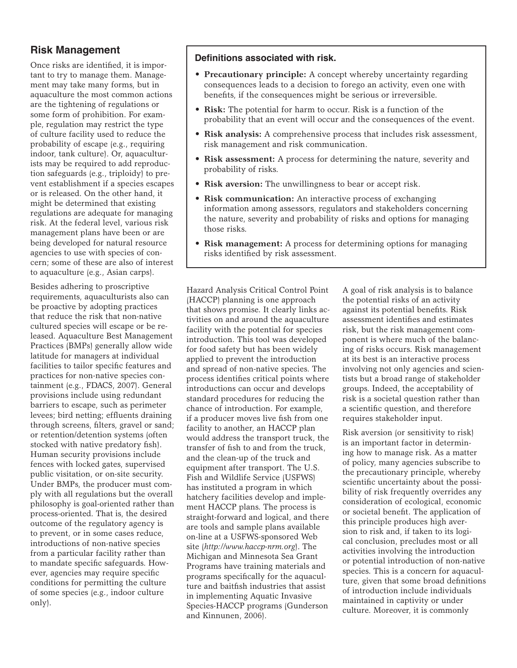## **Risk Management**

Once risks are identified, it is important to try to manage them. Management may take many forms, but in aquaculture the most common actions are the tightening of regulations or some form of prohibition. For example, regulation may restrict the type of culture facility used to reduce the probability of escape (e.g., requiring indoor, tank culture). Or, aquaculturists may be required to add reproduction safeguards (e.g., triploidy) to prevent establishment if a species escapes or is released. On the other hand, it might be determined that existing regulations are adequate for managing risk. At the federal level, various risk management plans have been or are being developed for natural resource agencies to use with species of concern; some of these are also of interest to aquaculture (e.g., Asian carps).

Besides adhering to proscriptive requirements, aquaculturists also can be proactive by adopting practices that reduce the risk that non-native cultured species will escape or be released. Aquaculture Best Management Practices (BMPs) generally allow wide latitude for managers at individual facilities to tailor specific features and practices for non-native species containment (e.g., FDACS, 2007). General provisions include using redundant barriers to escape, such as perimeter levees; bird netting; effluents draining through screens, filters, gravel or sand; or retention/detention systems (often stocked with native predatory fish). Human security provisions include fences with locked gates, supervised public visitation, or on-site security. Under BMPs, the producer must comply with all regulations but the overall philosophy is goal-oriented rather than process-oriented. That is, the desired outcome of the regulatory agency is to prevent, or in some cases reduce, introductions of non-native species from a particular facility rather than to mandate specific safeguards. However, agencies may require specific conditions for permitting the culture of some species (e.g., indoor culture only).

#### **Definitions associated with risk.**

- **• Precautionary principle:** A concept whereby uncertainty regarding consequences leads to a decision to forego an activity, even one with benefits, if the consequences might be serious or irreversible.
- **Risk:** The potential for harm to occur. Risk is a function of the probability that an event will occur and the consequences of the event.
- **• Risk analysis:** A comprehensive process that includes risk assessment, risk management and risk communication.
- **• Risk assessment:** A process for determining the nature, severity and probability of risks.
- **• Risk aversion:** The unwillingness to bear or accept risk.
- **• Risk communication:** An interactive process of exchanging information among assessors, regulators and stakeholders concerning the nature, severity and probability of risks and options for managing those risks.
- **Risk management:** A process for determining options for managing risks identified by risk assessment.

Hazard Analysis Critical Control Point (HACCP) planning is one approach that shows promise. It clearly links activities on and around the aquaculture facility with the potential for species introduction. This tool was developed for food safety but has been widely applied to prevent the introduction and spread of non-native species. The process identifies critical points where introductions can occur and develops standard procedures for reducing the chance of introduction. For example, if a producer moves live fish from one facility to another, an HACCP plan would address the transport truck, the transfer of fish to and from the truck, and the clean-up of the truck and equipment after transport. The U.S. Fish and Wildlife Service (USFWS) has instituted a program in which hatchery facilities develop and implement HACCP plans. The process is straight-forward and logical, and there are tools and sample plans available on-line at a USFWS-sponsored Web site (*http://www.haccp-nrm.org*). The Michigan and Minnesota Sea Grant Programs have training materials and programs specifically for the aquaculture and baitfish industries that assist in implementing Aquatic Invasive Species-HACCP programs (Gunderson and Kinnunen, 2006).

A goal of risk analysis is to balance the potential risks of an activity against its potential benefits. Risk assessment identifies and estimates risk, but the risk management component is where much of the balancing of risks occurs. Risk management at its best is an interactive process involving not only agencies and scientists but a broad range of stakeholder groups. Indeed, the acceptability of risk is a societal question rather than a scientific question, and therefore requires stakeholder input.

Risk aversion (or sensitivity to risk) is an important factor in determining how to manage risk. As a matter of policy, many agencies subscribe to the precautionary principle, whereby scientific uncertainty about the possibility of risk frequently overrides any consideration of ecological, economic or societal benefit. The application of this principle produces high aversion to risk and, if taken to its logical conclusion, precludes most or all activities involving the introduction or potential introduction of non-native species. This is a concern for aquaculture, given that some broad definitions of introduction include individuals maintained in captivity or under culture. Moreover, it is commonly